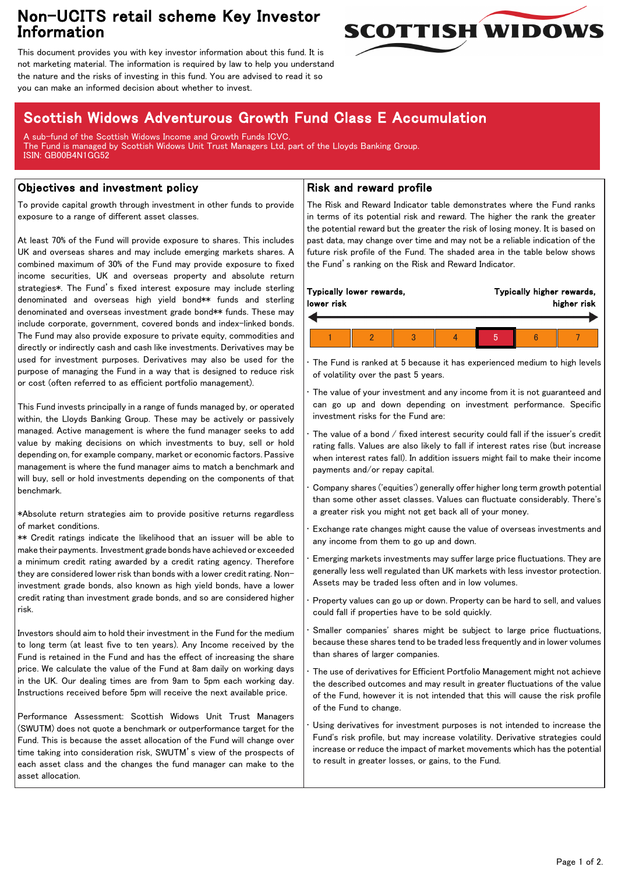## Non-UCITS retail scheme Key Investor Information



This document provides you with key investor information about this fund. It is not marketing material. The information is required by law to help you understand the nature and the risks of investing in this fund. You are advised to read it so you can make an informed decision about whether to invest.

# Scottish Widows Adventurous Growth Fund Class E Accumulation

A sub-fund of the Scottish Widows Income and Growth Funds ICVC. The Fund is managed by Scottish Widows Unit Trust Managers Ltd, part of the Lloyds Banking Group. ISIN: GB00B4N1GG52

## Objectives and investment policy

To provide capital growth through investment in other funds to provide exposure to a range of different asset classes.

At least 70% of the Fund will provide exposure to shares. This includes UK and overseas shares and may include emerging markets shares. A combined maximum of 30% of the Fund may provide exposure to fixed income securities, UK and overseas property and absolute return strategies\*. The Fund's fixed interest exposure may include sterling denominated and overseas high yield bond\*\* funds and sterling denominated and overseas investment grade bond\*\* funds. These may include corporate, government, covered bonds and index-linked bonds. The Fund may also provide exposure to private equity, commodities and directly or indirectly cash and cash like investments. Derivatives may be used for investment purposes. Derivatives may also be used for the purpose of managing the Fund in a way that is designed to reduce risk or cost (often referred to as efficient portfolio management).

This Fund invests principally in a range of funds managed by, or operated within, the Lloyds Banking Group. These may be actively or passively managed. Active management is where the fund manager seeks to add value by making decisions on which investments to buy, sell or hold depending on, for example company, market or economic factors. Passive management is where the fund manager aims to match a benchmark and will buy, sell or hold investments depending on the components of that benchmark.

\*Absolute return strategies aim to provide positive returns regardless of market conditions.

\*\* Credit ratings indicate the likelihood that an issuer will be able to make their payments. Investment grade bonds have achieved or exceeded a minimum credit rating awarded by a credit rating agency. Therefore they are considered lower risk than bonds with a lower credit rating. Noninvestment grade bonds, also known as high yield bonds, have a lower credit rating than investment grade bonds, and so are considered higher risk.

Investors should aim to hold their investment in the Fund for the medium to long term (at least five to ten years). Any Income received by the Fund is retained in the Fund and has the effect of increasing the share price. We calculate the value of the Fund at 8am daily on working days in the UK. Our dealing times are from 9am to 5pm each working day. Instructions received before 5pm will receive the next available price.

Performance Assessment: Scottish Widows Unit Trust Managers (SWUTM) does not quote a benchmark or outperformance target for the Fund. This is because the asset allocation of the Fund will change over time taking into consideration risk, SWUTM's view of the prospects of each asset class and the changes the fund manager can make to the asset allocation.

### Risk and reward profile

The Risk and Reward Indicator table demonstrates where the Fund ranks in terms of its potential risk and reward. The higher the rank the greater the potential reward but the greater the risk of losing money. It is based on past data, may change over time and may not be a reliable indication of the future risk profile of the Fund. The shaded area in the table below shows the Fund's ranking on the Risk and Reward Indicator.

| Typically lower rewards,<br>lower risk |  | Typically higher rewards,<br>higher risk |  |  |
|----------------------------------------|--|------------------------------------------|--|--|
|                                        |  |                                          |  |  |
|                                        |  |                                          |  |  |

The Fund is ranked at 5 because it has experienced medium to high levels of volatility over the past 5 years.

The value of your investment and any income from it is not guaranteed and can go up and down depending on investment performance. Specific investment risks for the Fund are:

• The value of a bond / fixed interest security could fall if the issuer's credit rating falls. Values are also likely to fall if interest rates rise (but increase when interest rates fall). In addition issuers might fail to make their income payments and/or repay capital.

• Company shares ('equities') generally offer higher long term growth potential than some other asset classes. Values can fluctuate considerably. There's a greater risk you might not get back all of your money.

• Exchange rate changes might cause the value of overseas investments and any income from them to go up and down.

• Emerging markets investments may suffer large price fluctuations. They are generally less well regulated than UK markets with less investor protection. Assets may be traded less often and in low volumes.

• Property values can go up or down. Property can be hard to sell, and values could fall if properties have to be sold quickly.

Smaller companies' shares might be subject to large price fluctuations, because these shares tend to be traded less frequently and in lower volumes than shares of larger companies.

The use of derivatives for Efficient Portfolio Management might not achieve the described outcomes and may result in greater fluctuations of the value of the Fund, however it is not intended that this will cause the risk profile of the Fund to change.

Using derivatives for investment purposes is not intended to increase the Fund's risk profile, but may increase volatility. Derivative strategies could increase or reduce the impact of market movements which has the potential to result in greater losses, or gains, to the Fund.